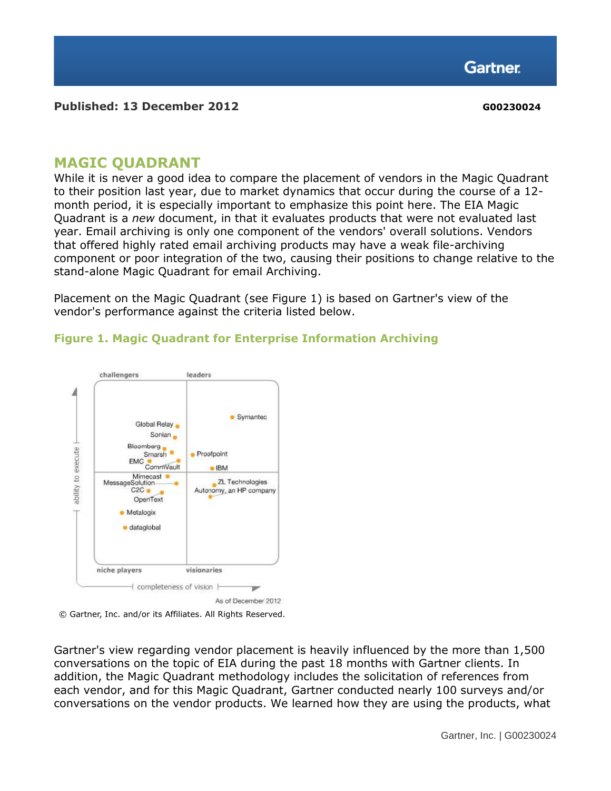**Gartner** 

#### **Published: 13 December 2012 G00230024**

## **MAGIC QUADRANT**

While it is never a good idea to compare the placement of vendors in the Magic Quadrant to their position last year, due to market dynamics that occur during the course of a 12 month period, it is especially important to emphasize this point here. The EIA Magic Quadrant is a *new* document, in that it evaluates products that were not evaluated last year. Email archiving is only one component of the vendors' overall solutions. Vendors that offered highly rated email archiving products may have a weak file-archiving component or poor integration of the two, causing their positions to change relative to the stand-alone Magic Quadrant for email Archiving.

Placement on the Magic Quadrant (see Figure 1) is based on Gartner's view of the vendor's performance against the criteria listed below.

### **Figure 1. Magic Quadrant for Enterprise Information Archiving**



As of December 2012



Gartner's view regarding vendor placement is heavily influenced by the more than 1,500 conversations on the topic of EIA during the past 18 months with Gartner clients. In addition, the Magic Quadrant methodology includes the solicitation of references from each vendor, and for this Magic Quadrant, Gartner conducted nearly 100 surveys and/or conversations on the vendor products. We learned how they are using the products, what